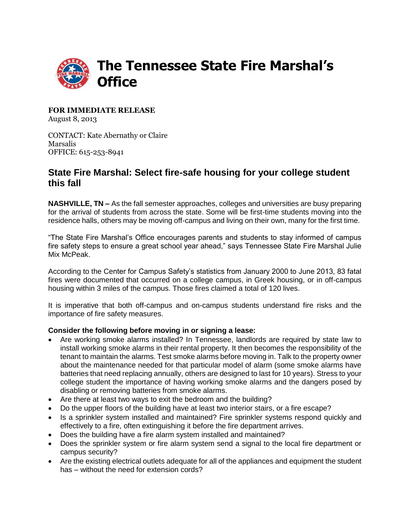

**FOR IMMEDIATE RELEASE** August 8, 2013

CONTACT: Kate Abernathy or Claire Marsalis OFFICE: 615-253-8941

## **State Fire Marshal: Select fire-safe housing for your college student this fall**

**NASHVILLE, TN –** As the fall semester approaches, colleges and universities are busy preparing for the arrival of students from across the state. Some will be first-time students moving into the residence halls, others may be moving off-campus and living on their own, many for the first time.

"The State Fire Marshal's Office encourages parents and students to stay informed of campus fire safety steps to ensure a great school year ahead," says Tennessee State Fire Marshal Julie Mix McPeak.

According to the Center for Campus Safety's statistics from January 2000 to June 2013, 83 fatal fires were documented that occurred on a college campus, in Greek housing, or in off-campus housing within 3 miles of the campus. Those fires claimed a total of 120 lives.

It is imperative that both off-campus and on-campus students understand fire risks and the importance of fire safety measures.

## **Consider the following before moving in or signing a lease:**

- Are working smoke alarms installed? In Tennessee, landlords are required by state law to install working smoke alarms in their rental property. It then becomes the responsibility of the tenant to maintain the alarms. Test smoke alarms before moving in. Talk to the property owner about the maintenance needed for that particular model of alarm (some smoke alarms have batteries that need replacing annually, others are designed to last for 10 years). Stress to your college student the importance of having working smoke alarms and the dangers posed by disabling or removing batteries from smoke alarms.
- Are there at least two ways to exit the bedroom and the building?
- Do the upper floors of the building have at least two interior stairs, or a fire escape?
- Is a sprinkler system installed and maintained? Fire sprinkler systems respond quickly and effectively to a fire, often extinguishing it before the fire department arrives.
- Does the building have a fire alarm system installed and maintained?
- Does the sprinkler system or fire alarm system send a signal to the local fire department or campus security?
- Are the existing electrical outlets adequate for all of the appliances and equipment the student has – without the need for extension cords?